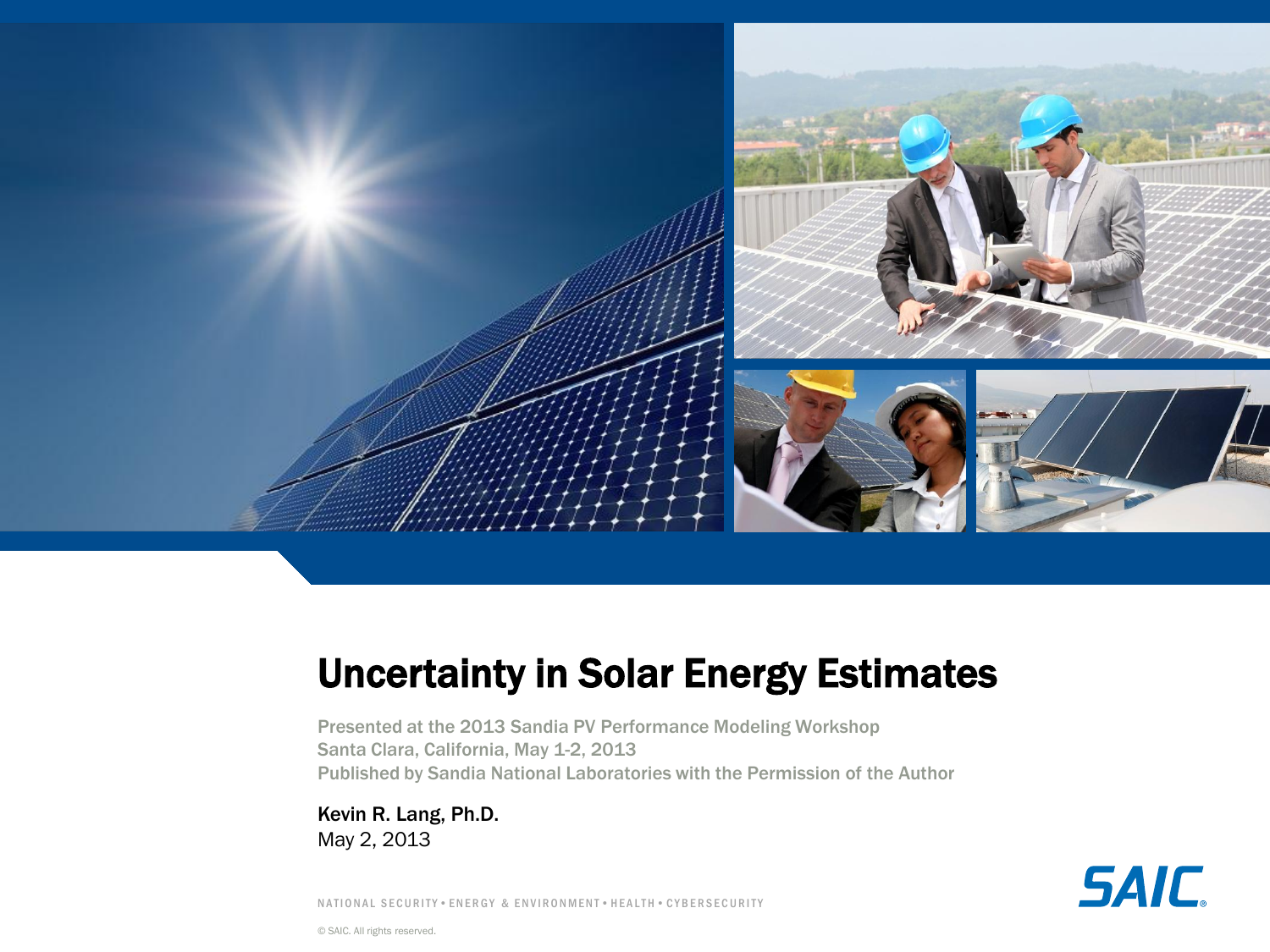

# Uncertainty in Solar Energy Estimates

Presented at the 2013 Sandia PV Performance Modeling Workshop Santa Clara, California, May 1-2, 2013 Published by Sandia National Laboratories with the Permission of the Author

Kevin R. Lang, Ph.D. May 2, 2013

**SAIC** 

N A T I O N A L SE CURITY . EN ER GY & EN VIR ON MENT . HEALTH . CYBERSECURITY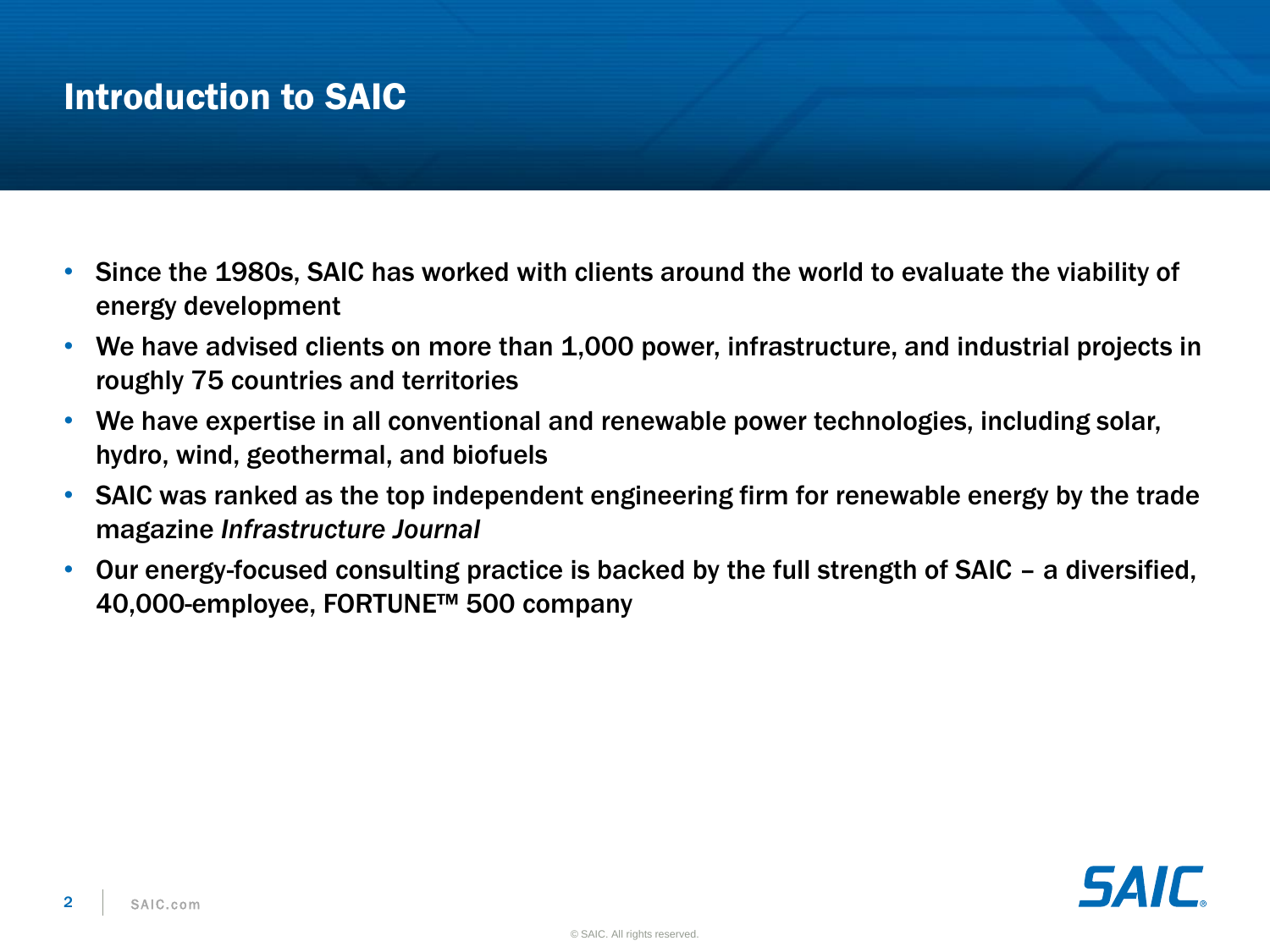## Introduction to SAIC

- Since the 1980s, SAIC has worked with clients around the world to evaluate the viability of energy development
- We have advised clients on more than 1,000 power, infrastructure, and industrial projects in roughly 75 countries and territories
- We have expertise in all conventional and renewable power technologies, including solar, hydro, wind, geothermal, and biofuels
- SAIC was ranked as the top independent engineering firm for renewable energy by the trade magazine *Infrastructure Journal*
- Our energy-focused consulting practice is backed by the full strength of SAIC a diversified, 40,000-employee, FORTUNE™ 500 company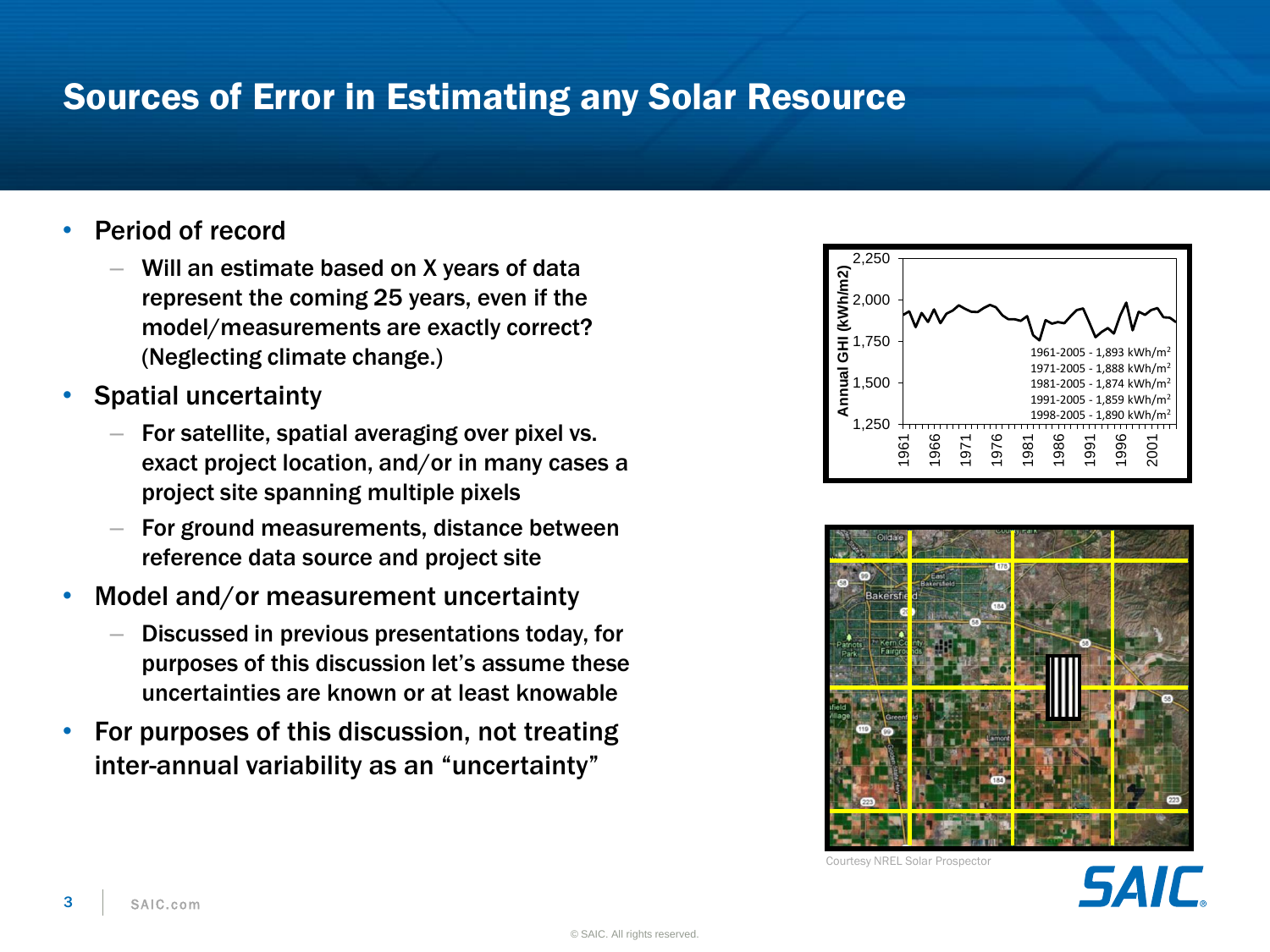### Sources of Error in Estimating any Solar Resource

- Period of record
	- Will an estimate based on X years of data represent the coming 25 years, even if the model/measurements are exactly correct? (Neglecting climate change.)
- Spatial uncertainty
	- For satellite, spatial averaging over pixel vs. exact project location, and/or in many cases a project site spanning multiple pixels
	- For ground measurements, distance between reference data source and project site
- Model and/or measurement uncertainty
	- Discussed in previous presentations today, for purposes of this discussion let's assume these uncertainties are known or at least knowable
- For purposes of this discussion, not treating inter-annual variability as an "uncertainty"





Courtesy NREL Solar Prospector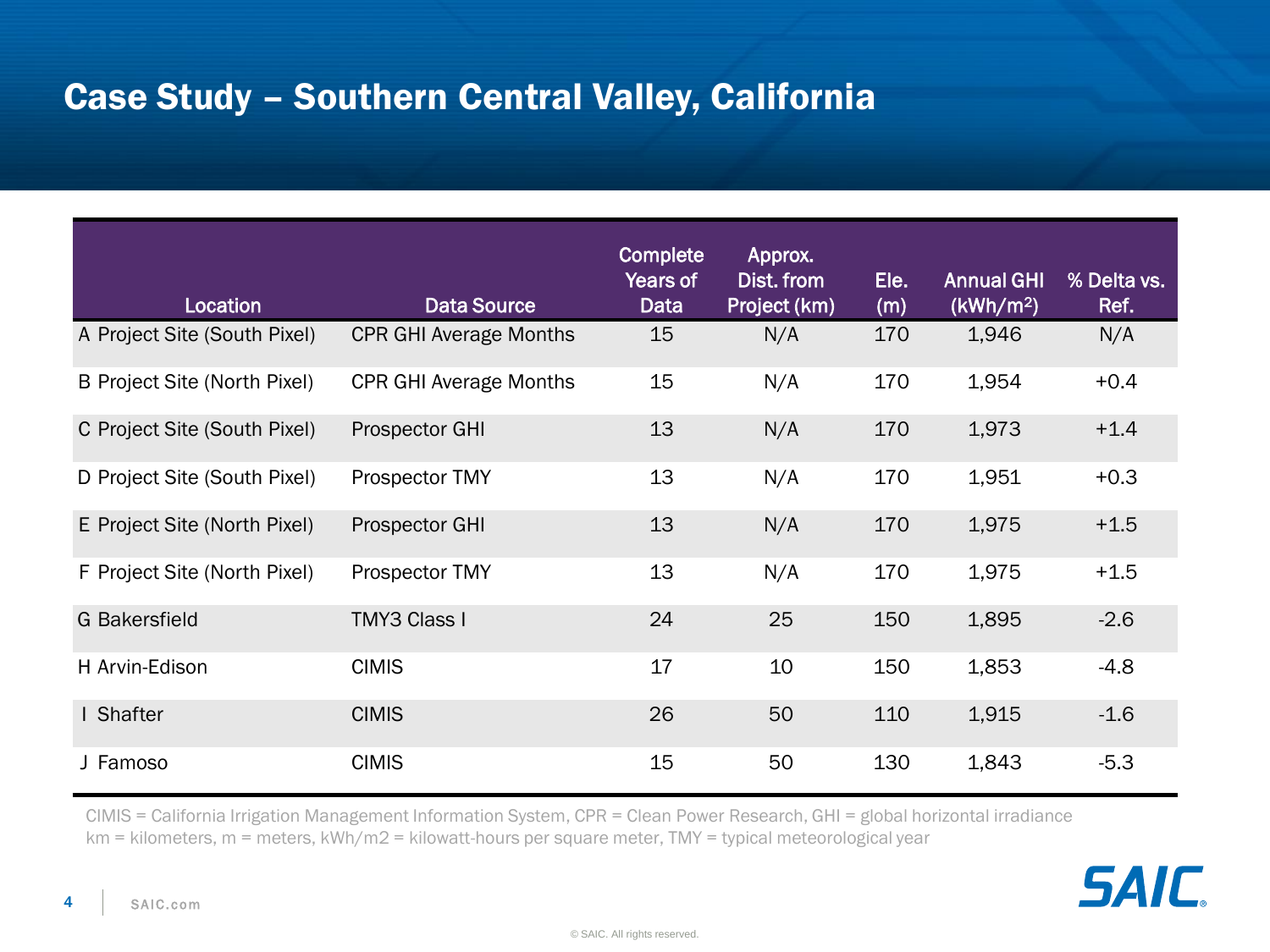## Case Study – Southern Central Valley, California

| Location                     | <b>Data Source</b>            | Complete<br>Years of<br>Data | Approx.<br>Dist. from<br>Project (km) | Ele.<br>(m) | <b>Annual GHI</b><br>(kWh/m <sup>2</sup> ) | % Delta vs.<br>Ref. |
|------------------------------|-------------------------------|------------------------------|---------------------------------------|-------------|--------------------------------------------|---------------------|
| A Project Site (South Pixel) | <b>CPR GHI Average Months</b> | 15                           | N/A                                   | 170         | 1,946                                      | N/A                 |
| B Project Site (North Pixel) | <b>CPR GHI Average Months</b> | 15                           | N/A                                   | 170         | 1,954                                      | $+0.4$              |
| C Project Site (South Pixel) | Prospector GHI                | 13                           | N/A                                   | 170         | 1,973                                      | $+1.4$              |
| D Project Site (South Pixel) | Prospector TMY                | 13                           | N/A                                   | 170         | 1,951                                      | $+0.3$              |
| E Project Site (North Pixel) | Prospector GHI                | 13                           | N/A                                   | 170         | 1,975                                      | $+1.5$              |
| F Project Site (North Pixel) | Prospector TMY                | 13                           | N/A                                   | 170         | 1,975                                      | $+1.5$              |
| <b>G</b> Bakersfield         | <b>TMY3 Class I</b>           | 24                           | 25                                    | 150         | 1,895                                      | $-2.6$              |
| H Arvin-Edison               | <b>CIMIS</b>                  | 17                           | 10                                    | 150         | 1,853                                      | $-4.8$              |
| I Shafter                    | <b>CIMIS</b>                  | 26                           | 50                                    | 110         | 1,915                                      | $-1.6$              |
| J Famoso                     | <b>CIMIS</b>                  | 15                           | 50                                    | 130         | 1,843                                      | $-5.3$              |

CIMIS = California Irrigation Management Information System, CPR = Clean Power Research, GHI = global horizontal irradiance km = kilometers, m = meters, kWh/m2 = kilowatt-hours per square meter, TMY = typical meteorological year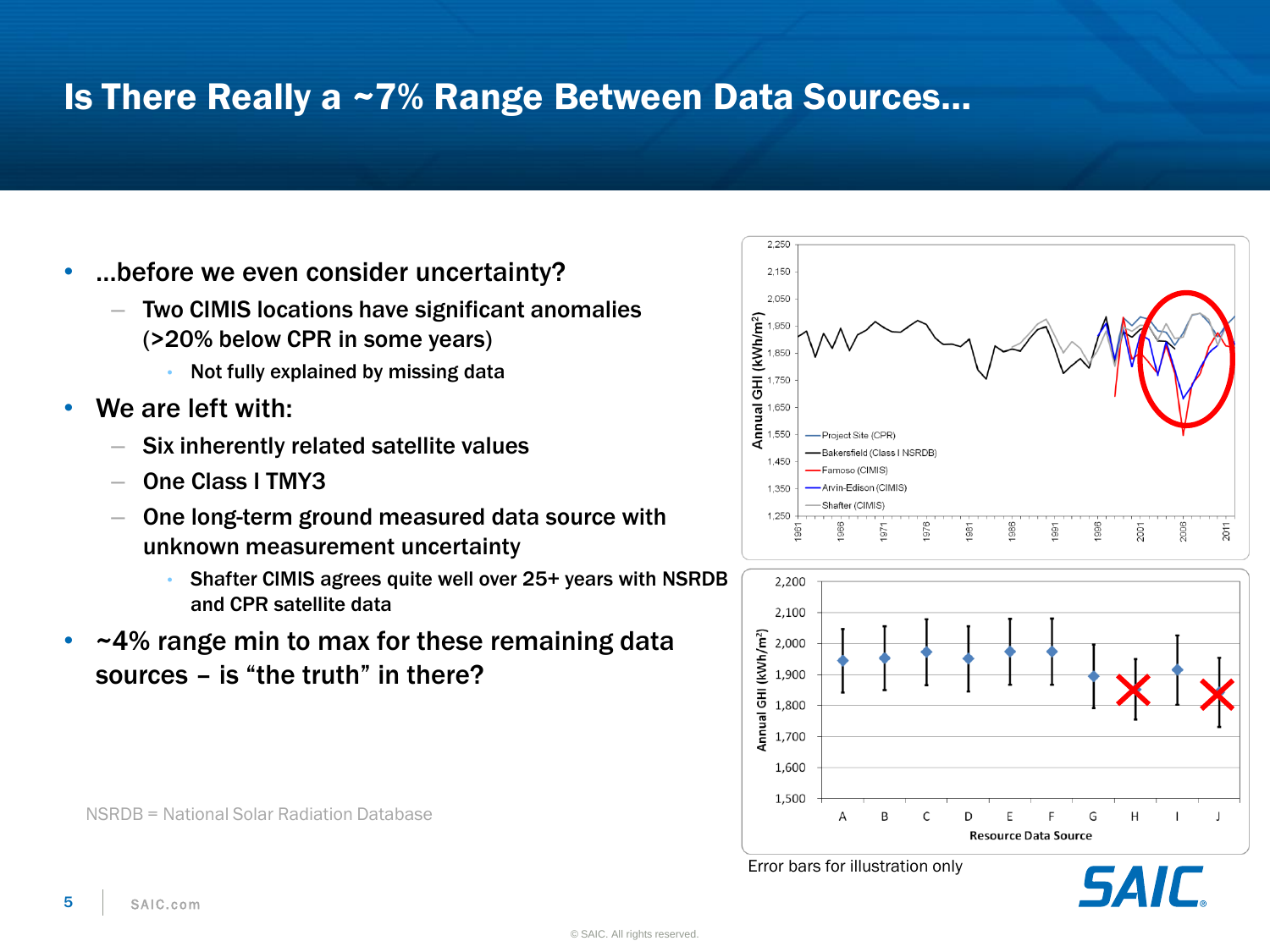### Is There Really a ~7% Range Between Data Sources…

- …before we even consider uncertainty?
	- Two CIMIS locations have significant anomalies (>20% below CPR in some years)
		- Not fully explained by missing data
- We are left with:
	- Six inherently related satellite values
	- One Class I TMY3
	- One long-term ground measured data source with unknown measurement uncertainty
		- Shafter CIMIS agrees quite well over 25+ years with NSRDB and CPR satellite data
- $-4\%$  range min to max for these remaining data sources – is "the truth" in there?







Error bars for illustration only

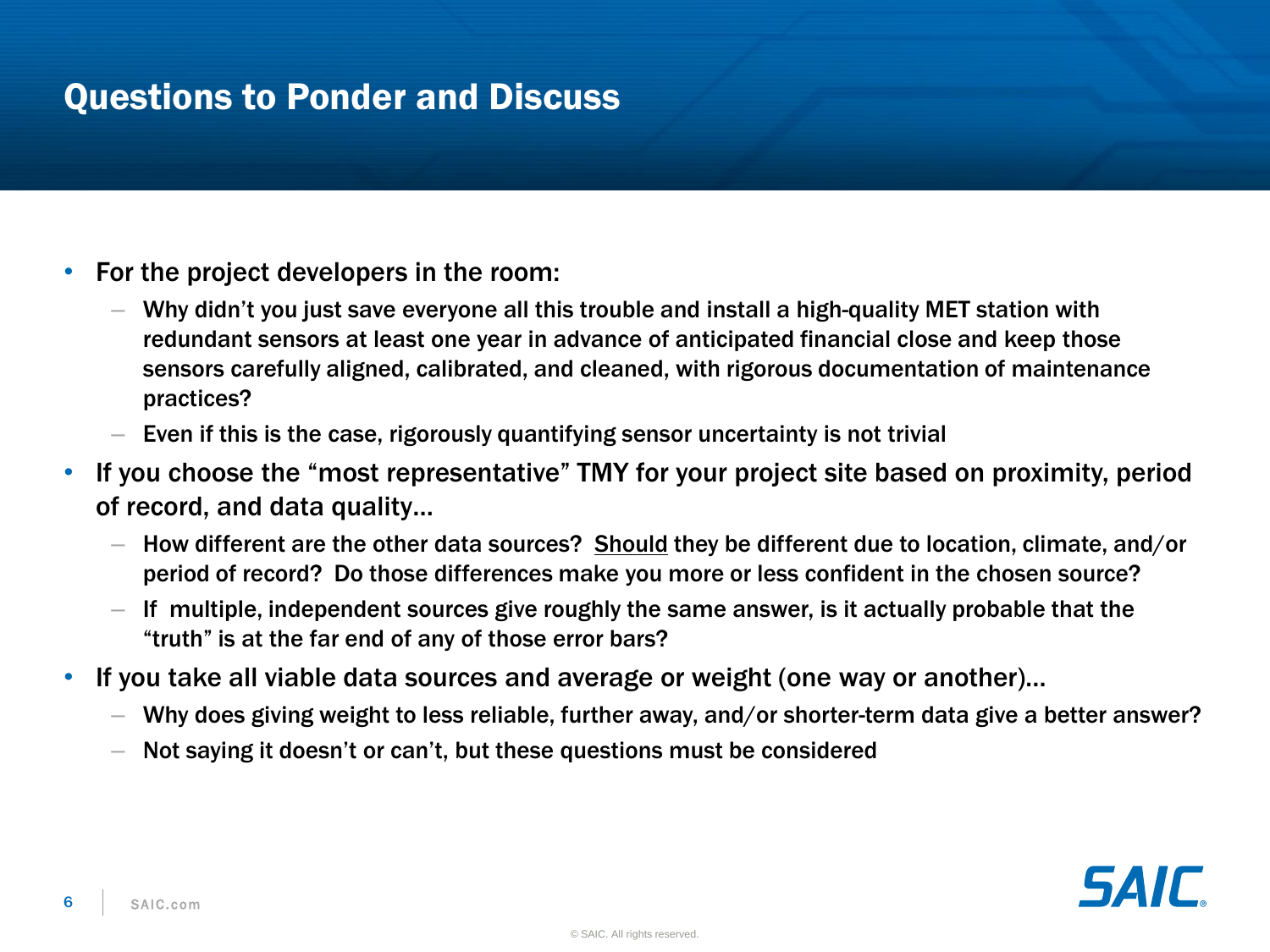#### Questions to Ponder and Discuss

- For the project developers in the room:
	- Why didn't you just save everyone all this trouble and install a high-quality MET station with redundant sensors at least one year in advance of anticipated financial close and keep those sensors carefully aligned, calibrated, and cleaned, with rigorous documentation of maintenance practices?
	- Even if this is the case, rigorously quantifying sensor uncertainty is not trivial
- If you choose the "most representative" TMY for your project site based on proximity, period of record, and data quality…
	- How different are the other data sources? Should they be different due to location, climate, and/or period of record? Do those differences make you more or less confident in the chosen source?
	- $-$  If multiple, independent sources give roughly the same answer, is it actually probable that the "truth" is at the far end of any of those error bars?
- If you take all viable data sources and average or weight (one way or another)…
	- Why does giving weight to less reliable, further away, and/or shorter-term data give a better answer?
	- Not saying it doesn't or can't, but these questions must be considered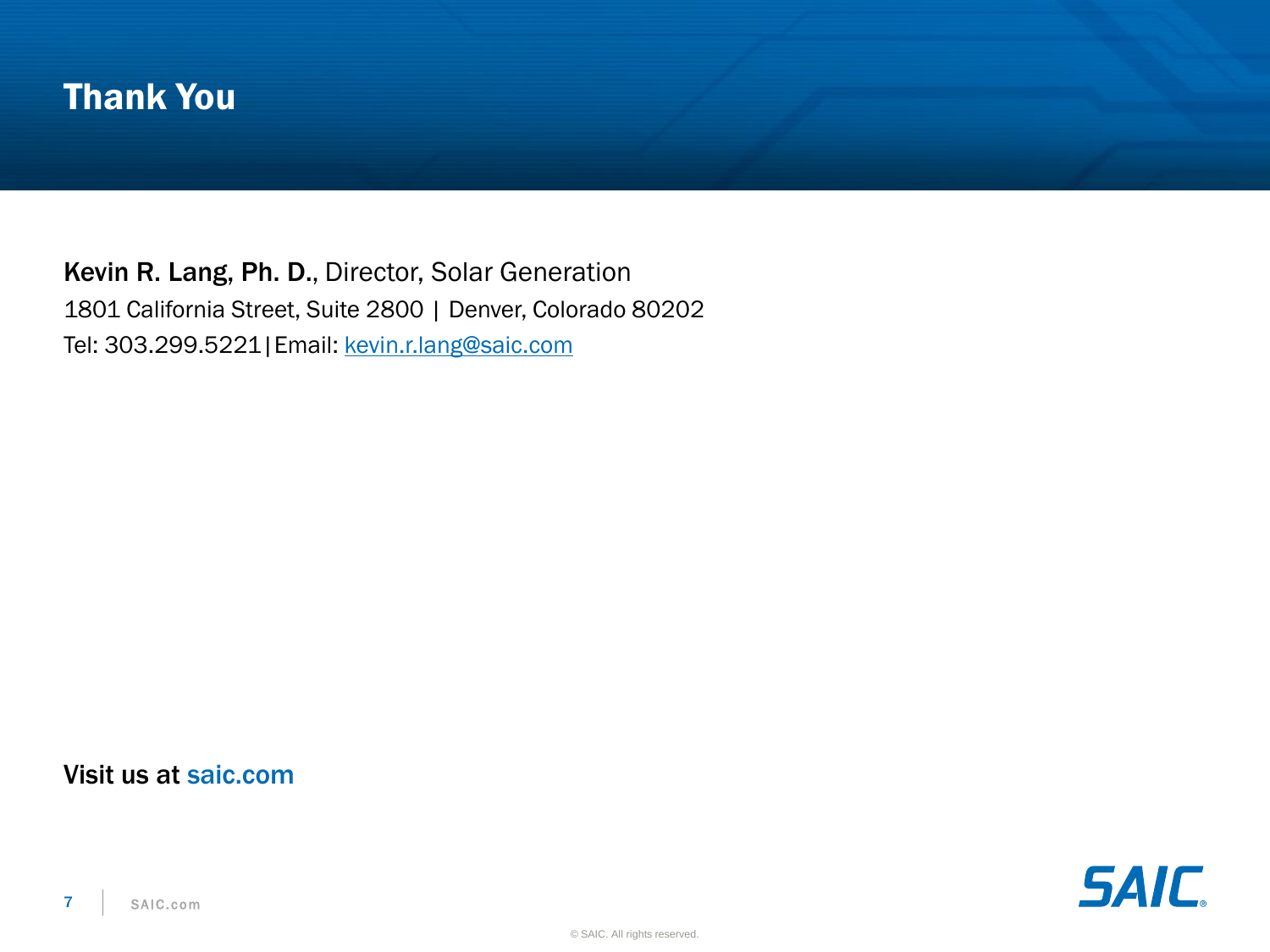#### Thank You

Kevin R. Lang, Ph. D., Director, Solar Generation 1801 California Street, Suite 2800 | Denver, Colorado 80202 Tel: 303.299.5221|Email: [kevin.r.lang@saic.com](mailto:name.t.come@saic.com)

#### Visit us at saic.com